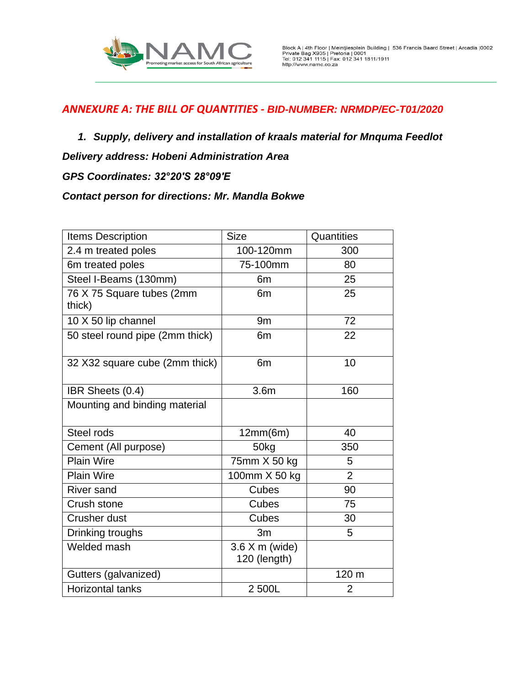

- *1. Supply, delivery and installation of kraals material for Mnquma Feedlot*
- *Delivery address: Hobeni Administration Area*
- *GPS Coordinates: 32°20′S 28°09′E*

## *Contact person for directions: Mr. Mandla Bokwe*

| <b>Items Description</b>            | <b>Size</b>                      | Quantities     |
|-------------------------------------|----------------------------------|----------------|
| 2.4 m treated poles                 | 100-120mm                        | 300            |
| 6m treated poles                    | 75-100mm                         | 80             |
| Steel I-Beams (130mm)               | 6 <sub>m</sub>                   | 25             |
| 76 X 75 Square tubes (2mm<br>thick) | 6 <sub>m</sub>                   | 25             |
| 10 X 50 lip channel                 | 9 <sub>m</sub>                   | 72             |
| 50 steel round pipe (2mm thick)     | 6 <sub>m</sub>                   | 22             |
| 32 X32 square cube (2mm thick)      | 6 <sub>m</sub>                   | 10             |
| IBR Sheets (0.4)                    | 3.6 <sub>m</sub>                 | 160            |
| Mounting and binding material       |                                  |                |
| Steel rods                          | 12mm(6m)                         | 40             |
| Cement (All purpose)                | 50kg                             | 350            |
| <b>Plain Wire</b>                   | 75mm X 50 kg                     | 5              |
| <b>Plain Wire</b>                   | 100mm X 50 kg                    | $\overline{2}$ |
| <b>River sand</b>                   | Cubes                            | 90             |
| Crush stone                         | <b>Cubes</b>                     | 75             |
| <b>Crusher dust</b>                 | Cubes                            | 30             |
| Drinking troughs                    | 3m                               | 5              |
| Welded mash                         | $3.6$ X m (wide)<br>120 (length) |                |
| Gutters (galvanized)                |                                  | 120 m          |
| <b>Horizontal tanks</b>             | 2 500L                           | $\overline{2}$ |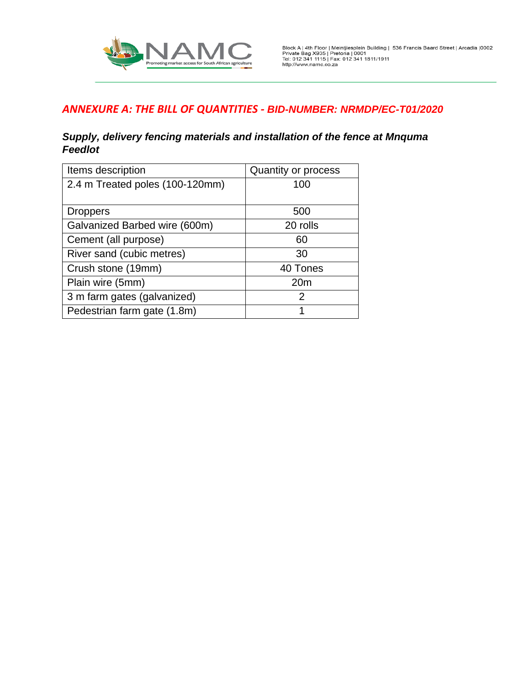

### *Supply, delivery fencing materials and installation of the fence at Mnquma Feedlot*

| Items description               | Quantity or process |
|---------------------------------|---------------------|
| 2.4 m Treated poles (100-120mm) | 100                 |
|                                 |                     |
| <b>Droppers</b>                 | 500                 |
| Galvanized Barbed wire (600m)   | 20 rolls            |
| Cement (all purpose)            | 60                  |
| River sand (cubic metres)       | 30                  |
| Crush stone (19mm)              | 40 Tones            |
| Plain wire (5mm)                | 20 <sub>m</sub>     |
| 3 m farm gates (galvanized)     | 2                   |
| Pedestrian farm gate (1.8m)     |                     |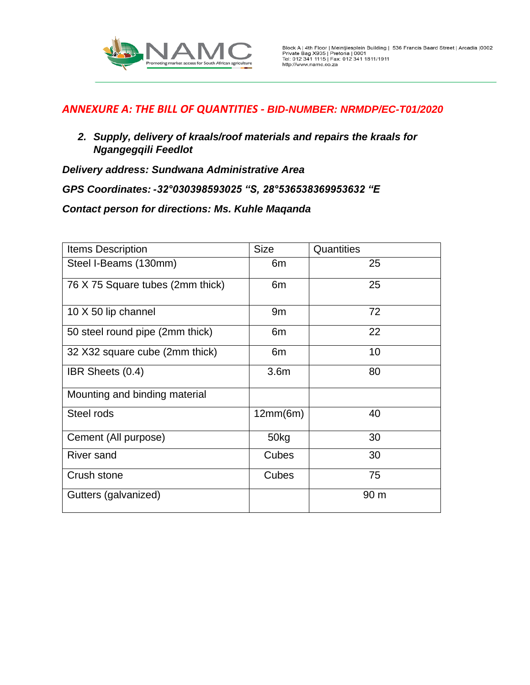

*2. Supply, delivery of kraals/roof materials and repairs the kraals for Ngangegqili Feedlot* 

*Delivery address: Sundwana Administrative Area*

*GPS Coordinates: -32°030398593025 "S, 28°536538369953632 "E*

*Contact person for directions: Ms. Kuhle Maqanda*

| <b>Items Description</b>         | <b>Size</b>      | Quantities |
|----------------------------------|------------------|------------|
| Steel I-Beams (130mm)            | 6m               | 25         |
| 76 X 75 Square tubes (2mm thick) | 6m               | 25         |
| 10 X 50 lip channel              | 9 <sub>m</sub>   | 72         |
| 50 steel round pipe (2mm thick)  | 6m               | 22         |
| 32 X32 square cube (2mm thick)   | 6m               | 10         |
| IBR Sheets (0.4)                 | 3.6 <sub>m</sub> | 80         |
| Mounting and binding material    |                  |            |
| Steel rods                       | 12mm(6m)         | 40         |
| Cement (All purpose)             | 50kg             | 30         |
| <b>River sand</b>                | Cubes            | 30         |
| Crush stone                      | Cubes            | 75         |
| Gutters (galvanized)             |                  | 90 m       |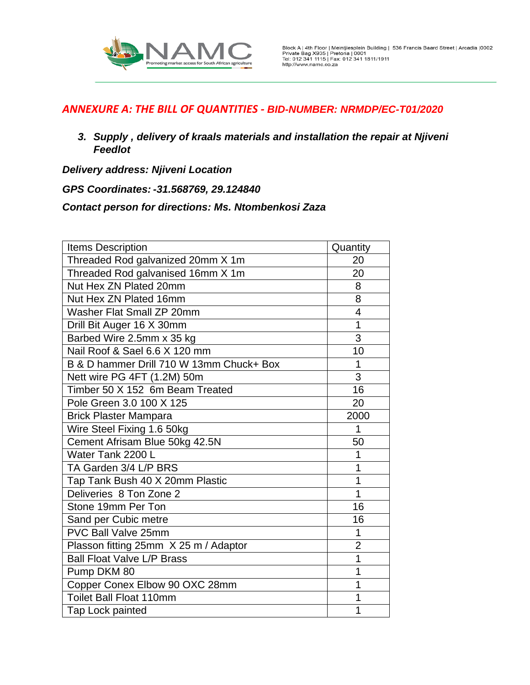

*3. Supply , delivery of kraals materials and installation the repair at Njiveni Feedlot* 

*Delivery address: Njiveni Location*

*GPS Coordinates: -31.568769, 29.124840*

*Contact person for directions: Ms. Ntombenkosi Zaza*

| <b>Items Description</b>                 | Quantity                |
|------------------------------------------|-------------------------|
| Threaded Rod galvanized 20mm X 1m        | 20                      |
| Threaded Rod galvanised 16mm X 1m        | 20                      |
| Nut Hex ZN Plated 20mm                   | 8                       |
| Nut Hex ZN Plated 16mm                   | 8                       |
| Washer Flat Small ZP 20mm                | $\overline{\mathbf{4}}$ |
| Drill Bit Auger 16 X 30mm                | 1                       |
| Barbed Wire 2.5mm x 35 kg                | 3                       |
| Nail Roof & Sael 6.6 X 120 mm            | 10                      |
| B & D hammer Drill 710 W 13mm Chuck+ Box | 1                       |
| Nett wire PG 4FT (1.2M) 50m              | 3                       |
| Timber 50 X 152 6m Beam Treated          | 16                      |
| Pole Green 3.0 100 X 125                 | 20                      |
| <b>Brick Plaster Mampara</b>             | 2000                    |
| Wire Steel Fixing 1.6 50kg               | 1                       |
| Cement Afrisam Blue 50kg 42.5N           | 50                      |
| Water Tank 2200 L                        | 1                       |
| TA Garden 3/4 L/P BRS                    | 1                       |
| Tap Tank Bush 40 X 20mm Plastic          | 1                       |
| Deliveries 8 Ton Zone 2                  | $\overline{1}$          |
| Stone 19mm Per Ton                       | 16                      |
| Sand per Cubic metre                     | 16                      |
| <b>PVC Ball Valve 25mm</b>               | 1                       |
| Plasson fitting 25mm X 25 m / Adaptor    | $\overline{2}$          |
| <b>Ball Float Valve L/P Brass</b>        | 1                       |
| Pump DKM 80                              | 1                       |
| Copper Conex Elbow 90 OXC 28mm           | 1                       |
| Toilet Ball Float 110mm                  | 1                       |
| Tap Lock painted                         | 1                       |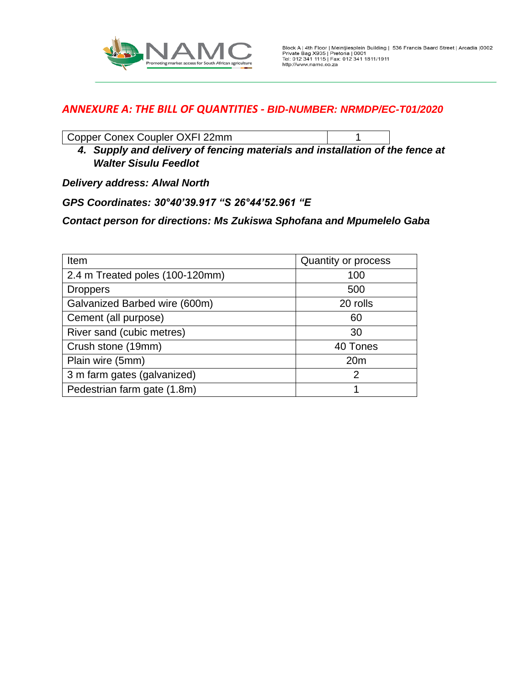

Copper Conex Coupler OXFI 22mm 1

*4. Supply and delivery of fencing materials and installation of the fence at Walter Sisulu Feedlot* 

*Delivery address: Alwal North* 

*GPS Coordinates: 30°40'39.917 "S 26°44'52.961 "E*

*Contact person for directions: Ms Zukiswa Sphofana and Mpumelelo Gaba*

| Item                            | Quantity or process |
|---------------------------------|---------------------|
| 2.4 m Treated poles (100-120mm) | 100                 |
| <b>Droppers</b>                 | 500                 |
| Galvanized Barbed wire (600m)   | 20 rolls            |
| Cement (all purpose)            | 60                  |
| River sand (cubic metres)       | 30                  |
| Crush stone (19mm)              | 40 Tones            |
| Plain wire (5mm)                | 20 <sub>m</sub>     |
| 3 m farm gates (galvanized)     | $\overline{2}$      |
| Pedestrian farm gate (1.8m)     |                     |